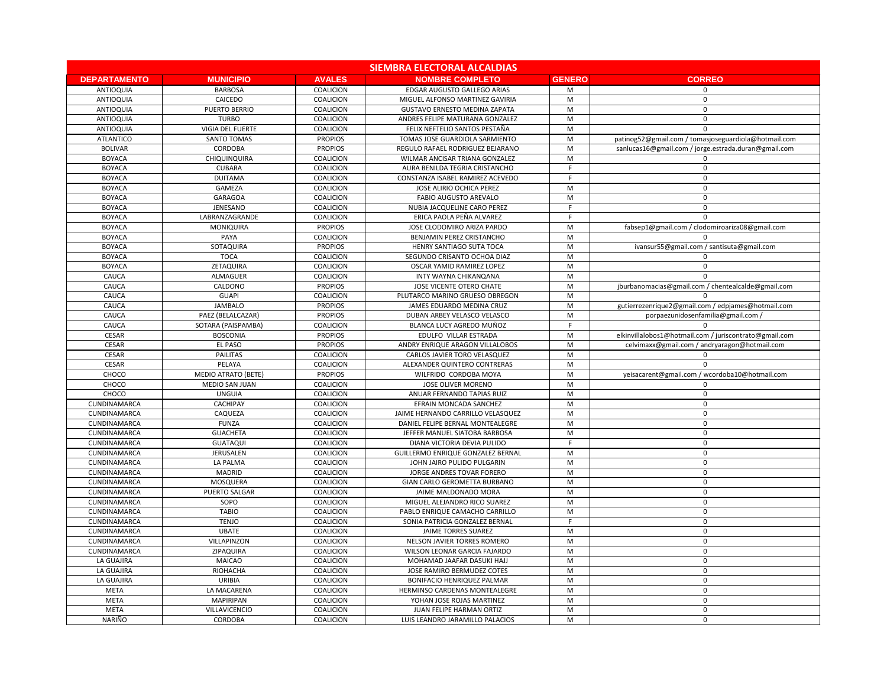| <b>SIEMBRA ELECTORAL ALCALDIAS</b> |                            |                  |                                          |               |                                                        |  |  |  |
|------------------------------------|----------------------------|------------------|------------------------------------------|---------------|--------------------------------------------------------|--|--|--|
| <b>DEPARTAMENTO</b>                | <b>MUNICIPIO</b>           | <b>AVALES</b>    | <b>NOMBRE COMPLETO</b>                   | <b>GENERO</b> | <b>CORREO</b>                                          |  |  |  |
| <b>ANTIOQUIA</b>                   | <b>BARBOSA</b>             | COALICION        | EDGAR AUGUSTO GALLEGO ARIAS              | M             | -0                                                     |  |  |  |
| <b>ANTIOQUIA</b>                   | <b>CAICEDO</b>             | COALICION        | MIGUEL ALFONSO MARTINEZ GAVIRIA          | M             | $\Omega$                                               |  |  |  |
| <b>ANTIOQUIA</b>                   | PUERTO BERRIO              | COALICION        | <b>GUSTAVO ERNESTO MEDINA ZAPATA</b>     | M             | $\mathbf{0}$                                           |  |  |  |
| <b>ANTIOQUIA</b>                   | <b>TURBO</b>               | COALICION        | ANDRES FELIPE MATURANA GONZALEZ          | M             | - 0                                                    |  |  |  |
| <b>ANTIOQUIA</b>                   | VIGIA DEL FUERTE           | COALICION        | FELIX NEFTELIO SANTOS PESTAÑA            | M             | $\Omega$                                               |  |  |  |
| <b>ATLANTICO</b>                   | <b>SANTO TOMAS</b>         | <b>PROPIOS</b>   | TOMAS JOSE GUARDIOLA SARMIENTO           | M             | patinog52@gmail.com / tomasjoseguardiola@hotmail.com   |  |  |  |
| <b>BOLIVAR</b>                     | <b>CORDOBA</b>             | <b>PROPIOS</b>   | REGULO RAFAEL RODRIGUEZ BEJARANO         | M             | sanlucas16@gmail.com / jorge.estrada.duran@gmail.com   |  |  |  |
| <b>BOYACA</b>                      | CHIQUINQUIRA               | COALICION        | WILMAR ANCISAR TRIANA GONZALEZ           | M             |                                                        |  |  |  |
| <b>BOYACA</b>                      | <b>CUBARA</b>              | COALICION        | AURA BENILDA TEGRIA CRISTANCHO           | - 0           | - 0                                                    |  |  |  |
| <b>BOYACA</b>                      | <b>DUITAMA</b>             | COALICION        | CONSTANZA ISABEL RAMIREZ ACEVEDO         | F             | $\Omega$                                               |  |  |  |
| <b>BOYACA</b>                      | <b>GAMEZA</b>              | COALICION        | JOSE ALIRIO OCHICA PEREZ                 | M             | $\Omega$                                               |  |  |  |
| <b>BOYACA</b>                      | <b>GARAGOA</b>             | COALICION        | <b>FABIO AUGUSTO AREVALO</b>             | M             | $\Omega$                                               |  |  |  |
| <b>BOYACA</b>                      | JENESANO                   | COALICION        | NUBIA JACQUELINE CARO PEREZ              | E             | $\Omega$                                               |  |  |  |
| <b>BOYACA</b>                      | LABRANZAGRANDE             | COALICION        | ERICA PAOLA PEÑA ALVAREZ                 |               | - ೧                                                    |  |  |  |
| <b>BOYACA</b>                      | MONIQUIRA                  | <b>PROPIOS</b>   | JOSE CLODOMIRO ARIZA PARDO               | M             | fabsep1@gmail.com / clodomiroariza08@gmail.com         |  |  |  |
| <b>BOYACA</b>                      | PAYA                       | COALICION        | BENJAMIN PEREZ CRISTANCHO                | M             |                                                        |  |  |  |
| <b>BOYACA</b>                      | SOTAQUIRA                  | <b>PROPIOS</b>   | HENRY SANTIAGO SUTA TOCA                 | M             | ivansur55@gmail.com / santisuta@gmail.com              |  |  |  |
| <b>BOYACA</b>                      | <b>TOCA</b>                | COALICION        | SEGUNDO CRISANTO OCHOA DIAZ              | M             |                                                        |  |  |  |
| <b>BOYACA</b>                      | ZETAQUIRA                  | COALICION        | OSCAR YAMID RAMIREZ LOPEZ                | M             | - 0                                                    |  |  |  |
| <b>CAUCA</b>                       | <b>ALMAGUER</b>            | COALICION        | INTY WAYNA CHIKANQANA                    | M             | $\Omega$                                               |  |  |  |
| CAUCA                              | CALDONO                    | <b>PROPIOS</b>   | <b>JOSE VICENTE OTERO CHATE</b>          | M             | jburbanomacias@gmail.com / chentealcalde@gmail.com     |  |  |  |
| <b>CAUCA</b>                       | <b>GUAPI</b>               | <b>COALICION</b> | PLUTARCO MARINO GRUESO OBREGON           | M             |                                                        |  |  |  |
| <b>CAUCA</b>                       | <b>JAMBALO</b>             | <b>PROPIOS</b>   | JAMES EDUARDO MEDINA CRUZ                | M             | gutierrezenrique2@gmail.com / edpjames@hotmail.com     |  |  |  |
| <b>CAUCA</b>                       | PAEZ (BELALCAZAR)          | <b>PROPIOS</b>   | DUBAN ARBEY VELASCO VELASCO              | M             | porpaezunidosenfamilia@gmail.com /                     |  |  |  |
| <b>CAUCA</b>                       | SOTARA (PAISPAMBA)         | COALICION        | BLANCA LUCY AGREDO MUÑOZ                 | F             |                                                        |  |  |  |
| <b>CESAR</b>                       | <b>BOSCONIA</b>            | <b>PROPIOS</b>   | EDULFO VILLAR ESTRADA                    | M             | elkinvillalobos1@hotmail.com / juriscontrato@gmail.com |  |  |  |
| <b>CESAR</b>                       | EL PASO                    | <b>PROPIOS</b>   | ANDRY ENRIQUE ARAGON VILLALOBOS          | M             | celvimaxx@gmail.com / andryaragon@hotmail.com          |  |  |  |
| <b>CESAR</b>                       | <b>PAILITAS</b>            | COALICION        | CARLOS JAVIER TORO VELASQUEZ             | M             |                                                        |  |  |  |
| <b>CESAR</b>                       | PELAYA                     | COALICION        | ALEXANDER QUINTERO CONTRERAS             | M             |                                                        |  |  |  |
| CHOCO                              | <b>MEDIO ATRATO (BETE)</b> | <b>PROPIOS</b>   | WILFRIDO CORDOBA MOYA                    | M             | yeisacarent@gmail.com / wcordoba10@hotmail.com         |  |  |  |
| CHOCO                              | <b>MEDIO SAN JUAN</b>      | COALICION        | <b>JOSE OLIVER MORENO</b>                | M             |                                                        |  |  |  |
| CHOCO                              | <b>UNGUIA</b>              | <b>COALICION</b> | ANUAR FERNANDO TAPIAS RUIZ               | M             | - 0                                                    |  |  |  |
| CUNDINAMARCA                       | <b>CACHIPAY</b>            | <b>COALICION</b> | EFRAIN MONCADA SANCHEZ                   | M             | $\Omega$                                               |  |  |  |
| CUNDINAMARCA                       | CAQUEZA                    | COALICION        | JAIME HERNANDO CARRILLO VELASQUEZ        | M             | 0                                                      |  |  |  |
| CUNDINAMARCA                       | <b>FUNZA</b>               | <b>COALICION</b> | DANIEL FELIPE BERNAL MONTEALEGRE         | M             | 0                                                      |  |  |  |
| CUNDINAMARCA                       | <b>GUACHETA</b>            | <b>COALICION</b> | JEFFER MANUEL SIATOBA BARBOSA            | M             | 0                                                      |  |  |  |
| CUNDINAMARCA                       | <b>GUATAQUI</b>            | <b>COALICION</b> | DIANA VICTORIA DEVIA PULIDO              | F             | 0                                                      |  |  |  |
| CUNDINAMARCA                       | <b>JERUSALEN</b>           | COALICION        | <b>GUILLERMO ENRIQUE GONZALEZ BERNAL</b> | M             | $\Omega$                                               |  |  |  |
| CUNDINAMARCA                       | LA PALMA                   | COALICION        | JOHN JAIRO PULIDO PULGARIN               | M             | 0                                                      |  |  |  |
| CUNDINAMARCA                       | <b>MADRID</b>              | <b>COALICION</b> | JORGE ANDRES TOVAR FORERO                | M             | 0                                                      |  |  |  |
| CUNDINAMARCA                       | MOSQUERA                   | <b>COALICION</b> | GIAN CARLO GEROMETTA BURBANO             | M             | $\Omega$                                               |  |  |  |
| CUNDINAMARCA                       | <b>PUERTO SALGAR</b>       | <b>COALICION</b> | JAIME MALDONADO MORA                     | M             | - 0                                                    |  |  |  |
| CUNDINAMARCA                       | SOPO                       | COALICION        | MIGUEL ALEJANDRO RICO SUAREZ             | M             | $\Omega$                                               |  |  |  |
| CUNDINAMARCA                       | <b>TABIO</b>               | COALICION        | PABLO ENRIQUE CAMACHO CARRILLO           | M             | $\Omega$                                               |  |  |  |
| CUNDINAMARCA                       | <b>TENJO</b>               | <b>COALICION</b> | SONIA PATRICIA GONZALEZ BERNAL           | -F            | $\Omega$                                               |  |  |  |
| CUNDINAMARCA                       | <b>UBATE</b>               | <b>COALICION</b> | <b>JAIME TORRES SUAREZ</b>               | M             | $\Omega$                                               |  |  |  |
| CUNDINAMARCA                       | <b>VILLAPINZON</b>         | <b>COALICION</b> | NELSON JAVIER TORRES ROMERO              | M             | - 0                                                    |  |  |  |
| CUNDINAMARCA                       | ZIPAQUIRA                  | COALICION        | WILSON LEONAR GARCIA FAJARDO             | M             | 0                                                      |  |  |  |
| LA GUAJIRA                         | <b>MAICAO</b>              | <b>COALICION</b> | MOHAMAD JAAFAR DASUKI HAJJ               | M             | 0                                                      |  |  |  |
| LA GUAJIRA                         | <b>RIOHACHA</b>            | <b>COALICION</b> | JOSE RAMIRO BERMUDEZ COTES               | M             | $\Omega$                                               |  |  |  |
| LA GUAJIRA                         | <b>URIBIA</b>              | <b>COALICION</b> | <b>BONIFACIO HENRIQUEZ PALMAR</b>        | M             | $\Omega$                                               |  |  |  |
| <b>META</b>                        | LA MACARENA                | COALICION        | HERMINSO CARDENAS MONTEALEGRE            | M             | 0                                                      |  |  |  |
| <b>META</b>                        | <b>MAPIRIPAN</b>           | <b>COALICION</b> | YOHAN JOSE ROJAS MARTINEZ                | M             | 0                                                      |  |  |  |
| <b>META</b>                        | <b>VILLAVICENCIO</b>       | <b>COALICION</b> | JUAN FELIPE HARMAN ORTIZ                 | M             | 0                                                      |  |  |  |
| NARIÑO                             | <b>CORDOBA</b>             | <b>COALICION</b> | LUIS LEANDRO JARAMILLO PALACIOS          | M             | $\Omega$                                               |  |  |  |
|                                    |                            |                  |                                          |               |                                                        |  |  |  |